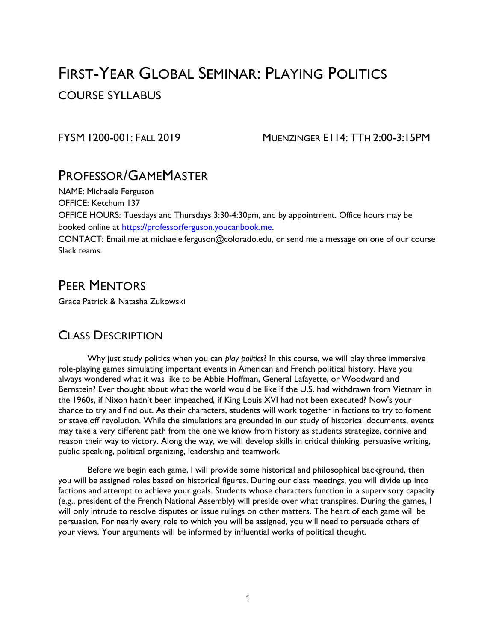# FIRST-YEAR GLOBAL SEMINAR: PLAYING POLITICS COURSE SYLLABUS

FYSM 1200-001: FALL 2019 MUENZINGER E114: TTH 2:00-3:15PM

## PROFESSOR/GAMEMASTER

NAME: Michaele Ferguson

OFFICE: Ketchum 137

OFFICE HOURS: Tuesdays and Thursdays 3:30-4:30pm, and by appointment. Office hours may be booked online at [https://professorferguson.youcanbook.me.](https://professorferguson.youcanbook.me/)

CONTACT: Email me at michaele.ferguson@colorado.edu, or send me a message on one of our course Slack teams.

## PEER MENTORS

Grace Patrick & Natasha Zukowski

## CLASS DESCRIPTION

Why just study politics when you can *play politics*? In this course, we will play three immersive role-playing games simulating important events in American and French political history. Have you always wondered what it was like to be Abbie Hoffman, General Lafayette, or Woodward and Bernstein? Ever thought about what the world would be like if the U.S. had withdrawn from Vietnam in the 1960s, if Nixon hadn't been impeached, if King Louis XVI had not been executed? Now's your chance to try and find out. As their characters, students will work together in factions to try to foment or stave off revolution. While the simulations are grounded in our study of historical documents, events may take a very different path from the one we know from history as students strategize, connive and reason their way to victory. Along the way, we will develop skills in critical thinking, persuasive writing, public speaking, political organizing, leadership and teamwork.

Before we begin each game, I will provide some historical and philosophical background, then you will be assigned roles based on historical figures. During our class meetings, you will divide up into factions and attempt to achieve your goals. Students whose characters function in a supervisory capacity (e.g., president of the French National Assembly) will preside over what transpires. During the games, I will only intrude to resolve disputes or issue rulings on other matters. The heart of each game will be persuasion. For nearly every role to which you will be assigned, you will need to persuade others of your views. Your arguments will be informed by influential works of political thought.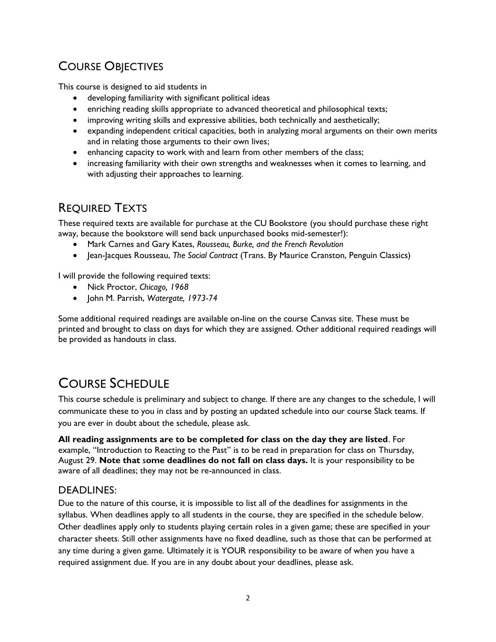## COURSE OBJECTIVES

This course is designed to aid students in

- developing familiarity with significant political ideas
- enriching reading skills appropriate to advanced theoretical and philosophical texts;
- improving writing skills and expressive abilities, both technically and aesthetically;
- expanding independent critical capacities, both in analyzing moral arguments on their own merits and in relating those arguments to their own lives;
- enhancing capacity to work with and learn from other members of the class;
- increasing familiarity with their own strengths and weaknesses when it comes to learning, and with adjusting their approaches to learning.

## REQUIRED TEXTS

These required texts are available for purchase at the CU Bookstore (you should purchase these right away, because the bookstore will send back unpurchased books mid-semester!):

- Mark Carnes and Gary Kates, *Rousseau, Burke, and the French Revolution*
- Jean-Jacques Rousseau, *The Social Contract* (Trans. By Maurice Cranston, Penguin Classics)

I will provide the following required texts:

- Nick Proctor, *Chicago, 1968*
- John M. Parrish, *Watergate, 1973-74*

Some additional required readings are available on-line on the course Canvas site. These must be printed and brought to class on days for which they are assigned. Other additional required readings will be provided as handouts in class.

# COURSE SCHEDULE

This course schedule is preliminary and subject to change. If there are any changes to the schedule, I will communicate these to you in class and by posting an updated schedule into our course Slack teams. If you are ever in doubt about the schedule, please ask.

**All reading assignments are to be completed for class on the day they are listed**. For example, "Introduction to Reacting to the Past" is to be read in preparation for class on Thursday, August 29. **Note that** s**ome deadlines do not fall on class days.** It is your responsibility to be aware of all deadlines; they may not be re-announced in class.

### DEADLINES:

Due to the nature of this course, it is impossible to list all of the deadlines for assignments in the syllabus. When deadlines apply to all students in the course, they are specified in the schedule below. Other deadlines apply only to students playing certain roles in a given game; these are specified in your character sheets. Still other assignments have no fixed deadline, such as those that can be performed at any time during a given game. Ultimately it is YOUR responsibility to be aware of when you have a required assignment due. If you are in any doubt about your deadlines, please ask.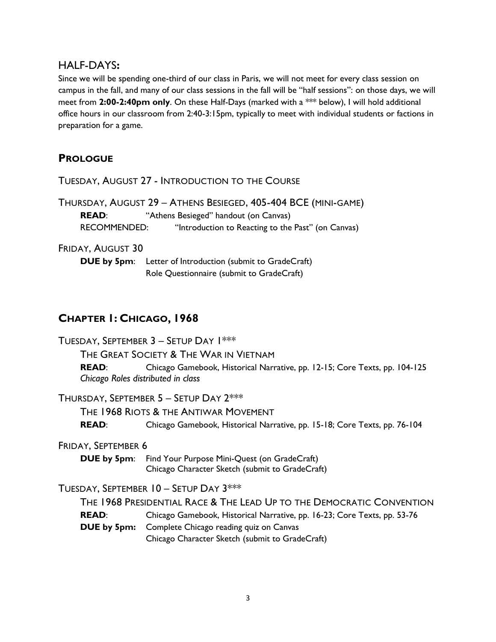### HALF-DAYS**:**

Since we will be spending one-third of our class in Paris, we will not meet for every class session on campus in the fall, and many of our class sessions in the fall will be "half sessions": on those days, we will meet from **2:00-2:40pm only**. On these Half-Days (marked with a \*\*\* below), I will hold additional office hours in our classroom from 2:40-3:15pm, typically to meet with individual students or factions in preparation for a game.

## **PROLOGUE**

TUESDAY, AUGUST 27 - INTRODUCTION TO THE COURSE

THURSDAY, AUGUST 29 – ATHENS BESIEGED, 405-404 BCE (MINI-GAME) **READ**: "Athens Besieged" handout (on Canvas) RECOMMENDED: "Introduction to Reacting to the Past" (on Canvas)

#### FRIDAY, AUGUST 30

**DUE by 5pm**: Letter of Introduction (submit to GradeCraft) Role Questionnaire (submit to GradeCraft)

## **CHAPTER 1: CHICAGO, 1968**

TUESDAY, SEPTEMBER 3 – SETUP DAY 1\*\*\* THE GREAT SOCIETY & THE WAR IN VIETNAM **READ**: Chicago Gamebook, Historical Narrative, pp. 12-15; Core Texts, pp. 104-125 *Chicago Roles distributed in class* THURSDAY, SEPTEMBER 5 – SETUP DAY 2\*\*\* THE 1968 RIOTS & THE ANTIWAR MOVEMENT **READ**: Chicago Gamebook, Historical Narrative, pp. 15-18; Core Texts, pp. 76-104 FRIDAY, SEPTEMBER 6 **DUE by 5pm**: Find Your Purpose Mini-Quest (on GradeCraft) Chicago Character Sketch (submit to GradeCraft) TUESDAY, SEPTEMBER 10 – SETUP DAY 3\*\*\* THE 1968 PRESIDENTIAL RACE & THE LEAD UP TO THE DEMOCRATIC CONVENTION **READ**: Chicago Gamebook, Historical Narrative, pp. 16-23; Core Texts, pp. 53-76 **DUE by 5pm:** Complete Chicago reading quiz on Canvas Chicago Character Sketch (submit to GradeCraft)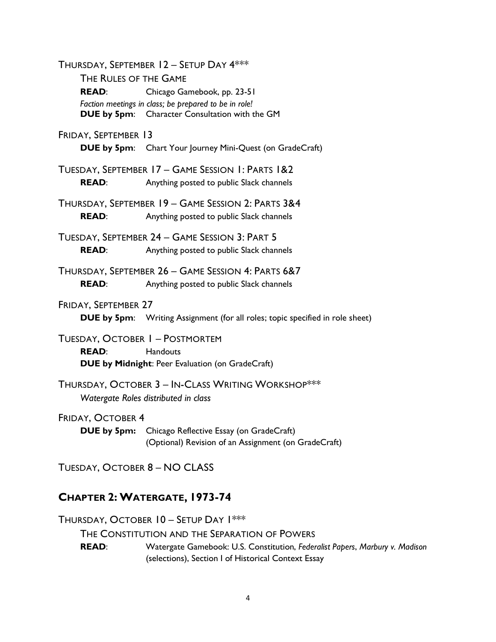THURSDAY, SEPTEMBER 12 – SETUP DAY 4\*\*\* THE RULES OF THE GAME **READ**: Chicago Gamebook, pp. 23-51 *Faction meetings in class; be prepared to be in role!* **DUE by 5pm**: Character Consultation with the GM FRIDAY, SEPTEMBER 13 **DUE by 5pm:** Chart Your Journey Mini-Quest (on GradeCraft) TUESDAY, SEPTEMBER 17 – GAME SESSION 1: PARTS 1&2 **READ:** Anything posted to public Slack channels THURSDAY, SEPTEMBER 19 – GAME SESSION 2: PARTS 3&4 **READ:** Anything posted to public Slack channels TUESDAY, SEPTEMBER 24 – GAME SESSION 3: PART 5 **READ:** Anything posted to public Slack channels THURSDAY, SEPTEMBER 26 – GAME SESSION 4: PARTS 6&7 **READ:** Anything posted to public Slack channels FRIDAY, SEPTEMBER 27 **DUE by 5pm:** Writing Assignment (for all roles; topic specified in role sheet) TUESDAY, OCTOBER 1 – POSTMORTEM **READ:** Handouts **DUE by Midnight**: Peer Evaluation (on GradeCraft) THURSDAY, OCTOBER 3 – IN-CLASS WRITING WORKSHOP\*\*\* *Watergate Roles distributed in class* FRIDAY, OCTOBER 4 **DUE by 5pm:** Chicago Reflective Essay (on GradeCraft) (Optional) Revision of an Assignment (on GradeCraft) TUESDAY, OCTOBER 8 – NO CLASS **CHAPTER 2: WATERGATE, 1973-74**

THURSDAY, OCTOBER 10 – SETUP DAY 1\*\*\*

THE CONSTITUTION AND THE SEPARATION OF POWERS

**READ**: Watergate Gamebook: U.S. Constitution, *Federalist Papers*, *Marbury v. Madison* (selections), Section I of Historical Context Essay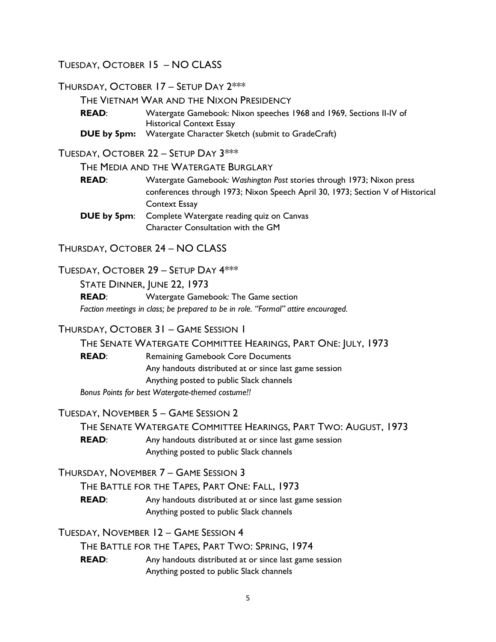TUESDAY, OCTOBER 15 – NO CLASS

THURSDAY, OCTOBER 17 – SETUP DAY 2\*\*\*

THE VIETNAM WAR AND THE NIXON PRESIDENCY

**READ:** Watergate Gamebook: Nixon speeches 1968 and 1969, Sections II-IV of Historical Context Essay **DUE by 5pm:** Watergate Character Sketch (submit to GradeCraft)

TUESDAY, OCTOBER 22 – SETUP DAY 3\*\*\*

THE MEDIA AND THE WATERGATE BURGLARY

**READ**: Watergate Gamebook*: Washington Post* stories through 1973; Nixon press conferences through 1973; Nixon Speech April 30, 1973; Section V of Historical Context Essay

**DUE by 5pm:** Complete Watergate reading quiz on Canvas Character Consultation with the GM

THURSDAY, OCTOBER 24 – NO CLASS

TUESDAY, OCTOBER 29 – SETUP DAY 4\*\*\*

STATE DINNER, JUNE 22, 1973

**READ**: Watergate Gamebook*:* The Game section *Faction meetings in class; be prepared to be in role. "Formal" attire encouraged.*

### THURSDAY, OCTOBER 31 – GAME SESSION 1

THE SENATE WATERGATE COMMITTEE HEARINGS, PART ONE: JULY, 1973

**READ:** Remaining Gamebook Core Documents Any handouts distributed at or since last game session Anything posted to public Slack channels *Bonus Points for best Watergate-themed costume!!*

TUESDAY, NOVEMBER 5 – GAME SESSION 2

THE SENATE WATERGATE COMMITTEE HEARINGS, PART TWO: AUGUST, 1973

**READ:** Any handouts distributed at or since last game session Anything posted to public Slack channels

THURSDAY, NOVEMBER 7 – GAME SESSION 3

THE BATTLE FOR THE TAPES, PART ONE: FALL, 1973

**READ:** Any handouts distributed at or since last game session Anything posted to public Slack channels

TUESDAY, NOVEMBER 12 – GAME SESSION 4

THE BATTLE FOR THE TAPES, PART TWO: SPRING, 1974

**READ:** Any handouts distributed at or since last game session Anything posted to public Slack channels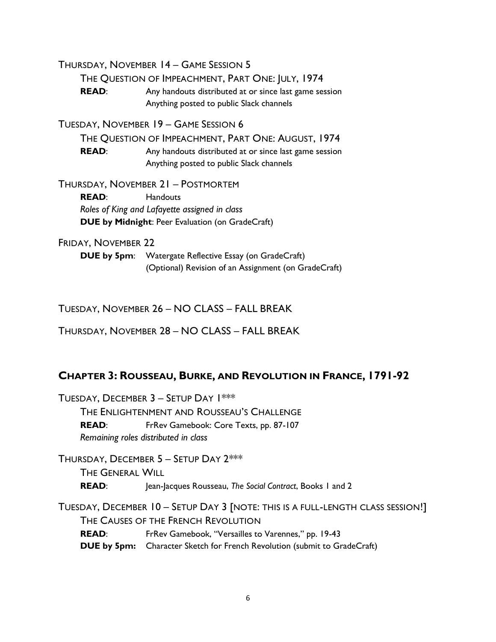THURSDAY, NOVEMBER 14 – GAME SESSION 5

THE QUESTION OF IMPEACHMENT, PART ONE: JULY, 1974

**READ:** Any handouts distributed at or since last game session Anything posted to public Slack channels

TUESDAY, NOVEMBER 19 – GAME SESSION 6

THE QUESTION OF IMPEACHMENT, PART ONE: AUGUST, 1974

**READ:** Any handouts distributed at or since last game session Anything posted to public Slack channels

THURSDAY, NOVEMBER 21 – POSTMORTEM

READ: Handouts *Roles of King and Lafayette assigned in class* **DUE by Midnight**: Peer Evaluation (on GradeCraft)

FRIDAY, NOVEMBER 22

**DUE by 5pm**: Watergate Reflective Essay (on GradeCraft) (Optional) Revision of an Assignment (on GradeCraft)

TUESDAY, NOVEMBER 26 – NO CLASS – FALL BREAK

THURSDAY, NOVEMBER 28 – NO CLASS – FALL BREAK

### **CHAPTER 3: ROUSSEAU, BURKE, AND REVOLUTION IN FRANCE, 1791-92**

TUESDAY, DECEMBER 3 – SETUP DAY 1\*\*\* THE ENLIGHTENMENT AND ROUSSEAU'S CHALLENGE **READ**: FrRev Gamebook: Core Texts, pp. 87-107 *Remaining roles distributed in class*

THURSDAY, DECEMBER 5 – SETUP DAY 2\*\*\* THE GENERAL WILL **READ**: Jean-Jacques Rousseau, *The Social Contract*, Books 1 and 2

TUESDAY, DECEMBER 10 – SETUP DAY 3 [NOTE: THIS IS A FULL-LENGTH CLASS SESSION!] THE CAUSES OF THE FRENCH REVOLUTION **READ:** FrRev Gamebook, "Versailles to Varennes," pp. 19-43 **DUE by 5pm:** Character Sketch for French Revolution (submit to GradeCraft)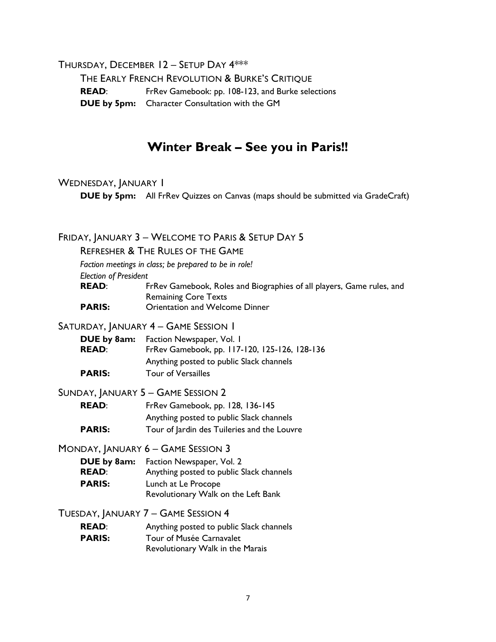THURSDAY, DECEMBER 12 – SETUP DAY 4\*\*\*

THE EARLY FRENCH REVOLUTION & BURKE'S CRITIQUE **READ**: FrRev Gamebook: pp. 108-123, and Burke selections **DUE by 5pm:** Character Consultation with the GM

## **Winter Break – See you in Paris!!**

#### WEDNESDAY, JANUARY I

**DUE by 5pm:** All FrRev Quizzes on Canvas (maps should be submitted via GradeCraft)

### FRIDAY, JANUARY 3 – WELCOME TO PARIS & SETUP DAY 5

REFRESHER & THE RULES OF THE GAME

*Faction meetings in class; be prepared to be in role!*

*Election of President*

**READ:** FrRev Gamebook, Roles and Biographies of all players, Game rules, and Remaining Core Texts

**PARIS:** Orientation and Welcome Dinner

#### SATURDAY, JANUARY 4 - GAME SESSION 1

| DUE by 8am:<br><b>READ:</b> | Faction Newspaper, Vol. 1<br>FrRev Gamebook, pp. 117-120, 125-126, 128-136 |
|-----------------------------|----------------------------------------------------------------------------|
|                             | Anything posted to public Slack channels                                   |
| <b>PARIS:</b>               | <b>Tour of Versailles</b>                                                  |

#### SUNDAY, JANUARY 5 – GAME SESSION 2

**READ**: FrRev Gamebook, pp. 128, 136-145 Anything posted to public Slack channels **PARIS:** Tour of lardin des Tuileries and the Louvre

MONDAY, JANUARY 6 – GAME SESSION 3

**DUE by 8am:** Faction Newspaper, Vol. 2 **READ:** Anything posted to public Slack channels **PARIS:** Lunch at Le Procope Revolutionary Walk on the Left Bank

TUESDAY, JANUARY 7 – GAME SESSION 4

**READ:** Anything posted to public Slack channels **PARIS:** Tour of Musée Carnavalet Revolutionary Walk in the Marais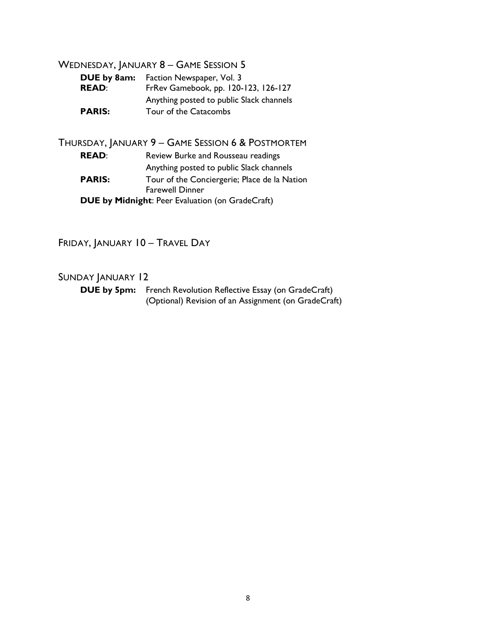### WEDNESDAY, JANUARY 8 - GAME SESSION 5

| <b>READ:</b> | <b>DUE by 8am:</b> Faction Newspaper, Vol. 3<br>FrRev Gamebook, pp. 120-123, 126-127 |  |
|--------------|--------------------------------------------------------------------------------------|--|
|              | Anything posted to public Slack channels                                             |  |
| PARIS:       | Tour of the Catacombs                                                                |  |

#### THURSDAY, JANUARY 9 – GAME SESSION 6 & POSTMORTEM

**READ:** Review Burke and Rousseau readings Anything posted to public Slack channels **PARIS:** Tour of the Conciergerie; Place de la Nation Farewell Dinner **DUE by Midnight**: Peer Evaluation (on GradeCraft)

FRIDAY, JANUARY 10 – TRAVEL DAY

### SUNDAY JANUARY 12

**DUE by 5pm:** French Revolution Reflective Essay (on GradeCraft) (Optional) Revision of an Assignment (on GradeCraft)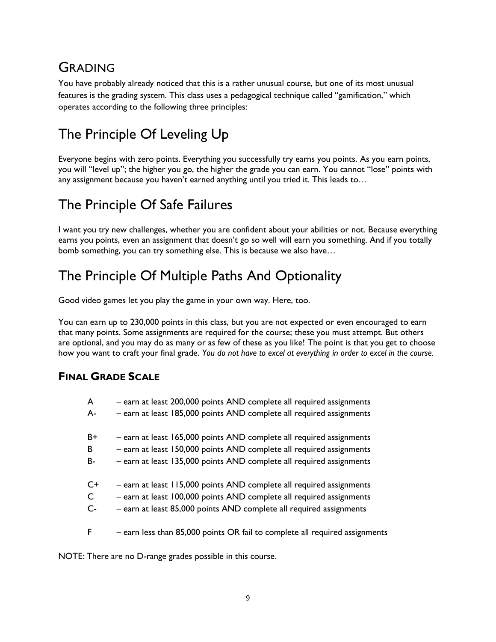# GRADING

You have probably already noticed that this is a rather unusual course, but one of its most unusual features is the grading system. This class uses a pedagogical technique called "gamification," which operates according to the following three principles:

# The Principle Of Leveling Up

Everyone begins with zero points. Everything you successfully try earns you points. As you earn points, you will "level up"; the higher you go, the higher the grade you can earn. You cannot "lose" points with any assignment because you haven't earned anything until you tried it. This leads to…

# The Principle Of Safe Failures

I want you try new challenges, whether you are confident about your abilities or not. Because everything earns you points, even an assignment that doesn't go so well will earn you something. And if you totally bomb something, you can try something else. This is because we also have…

## The Principle Of Multiple Paths And Optionality

Good video games let you play the game in your own way. Here, too.

You can earn up to 230,000 points in this class, but you are not expected or even encouraged to earn that many points. Some assignments are required for the course; these you must attempt. But others are optional, and you may do as many or as few of these as you like! The point is that you get to choose how you want to craft your final grade. *You do not have to excel at everything in order to excel in the course.*

## **FINAL GRADE SCALE**

| A            | - earn at least 200,000 points AND complete all required assignments        |
|--------------|-----------------------------------------------------------------------------|
| А-           | - earn at least 185,000 points AND complete all required assignments        |
| $B+$         | - earn at least 165,000 points AND complete all required assignments        |
| B            | - earn at least 150,000 points AND complete all required assignments        |
| B-           | - earn at least 135,000 points AND complete all required assignments        |
| $C+$         | - earn at least 115,000 points AND complete all required assignments        |
| $\mathsf{C}$ | - earn at least 100,000 points AND complete all required assignments        |
| $C -$        | - earn at least 85,000 points AND complete all required assignments         |
| F            | - earn less than 85,000 points OR fail to complete all required assignments |

NOTE: There are no D-range grades possible in this course.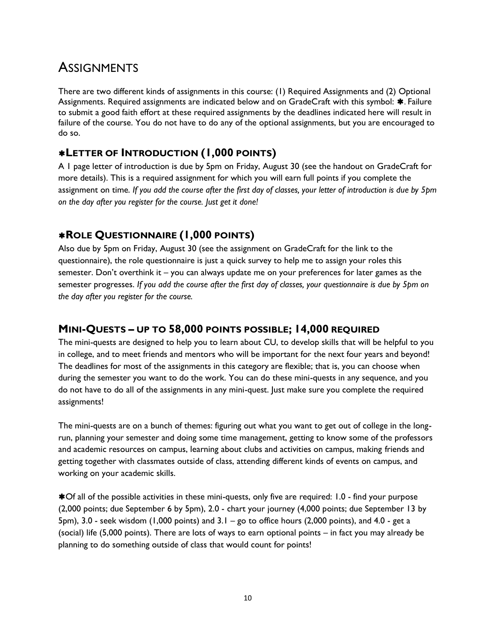## **ASSIGNMENTS**

There are two different kinds of assignments in this course: (1) Required Assignments and (2) Optional Assignments. Required assignments are indicated below and on GradeCraft with this symbol:  $\ast$ . Failure to submit a good faith effort at these required assignments by the deadlines indicated here will result in failure of the course. You do not have to do any of the optional assignments, but you are encouraged to do so.

## **LETTER OF INTRODUCTION (1,000 POINTS)**

A 1 page letter of introduction is due by 5pm on Friday, August 30 (see the handout on GradeCraft for more details). This is a required assignment for which you will earn full points if you complete the assignment on time. *If you add the course after the first day of classes, your letter of introduction is due by 5pm on the day after you register for the course. Just get it done!*

## **ROLE QUESTIONNAIRE (1,000 POINTS)**

Also due by 5pm on Friday, August 30 (see the assignment on GradeCraft for the link to the questionnaire), the role questionnaire is just a quick survey to help me to assign your roles this semester. Don't overthink it – you can always update me on your preferences for later games as the semester progresses. *If you add the course after the first day of classes, your questionnaire is due by 5pm on the day after you register for the course.*

## **MINI-QUESTS – UP TO 58,000 POINTS POSSIBLE; 14,000 REQUIRED**

The mini-quests are designed to help you to learn about CU, to develop skills that will be helpful to you in college, and to meet friends and mentors who will be important for the next four years and beyond! The deadlines for most of the assignments in this category are flexible; that is, you can choose when during the semester you want to do the work. You can do these mini-quests in any sequence, and you do not have to do all of the assignments in any mini-quest. Just make sure you complete the required assignments!

The mini-quests are on a bunch of themes: figuring out what you want to get out of college in the longrun, planning your semester and doing some time management, getting to know some of the professors and academic resources on campus, learning about clubs and activities on campus, making friends and getting together with classmates outside of class, attending different kinds of events on campus, and working on your academic skills.

Of all of the possible activities in these mini-quests, only five are required: 1.0 - find your purpose (2,000 points; due September 6 by 5pm), 2.0 - chart your journey (4,000 points; due September 13 by 5pm), 3.0 - seek wisdom (1,000 points) and 3.1 – go to office hours (2,000 points), and 4.0 - get a (social) life (5,000 points). There are lots of ways to earn optional points – in fact you may already be planning to do something outside of class that would count for points!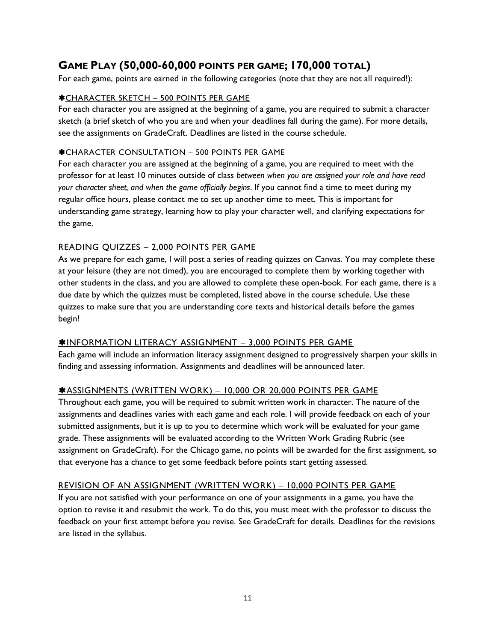## **GAME PLAY (50,000-60,000 POINTS PER GAME; 170,000 TOTAL)**

For each game, points are earned in the following categories (note that they are not all required!):

#### CHARACTER SKETCH – 500 POINTS PER GAME

For each character you are assigned at the beginning of a game, you are required to submit a character sketch (a brief sketch of who you are and when your deadlines fall during the game). For more details, see the assignments on GradeCraft. Deadlines are listed in the course schedule.

#### CHARACTER CONSULTATION – 500 POINTS PER GAME

For each character you are assigned at the beginning of a game, you are required to meet with the professor for at least 10 minutes outside of class *between when you are assigned your role and have read your character sheet, and when the game officially begins*. If you cannot find a time to meet during my regular office hours, please contact me to set up another time to meet. This is important for understanding game strategy, learning how to play your character well, and clarifying expectations for the game.

#### READING QUIZZES – 2,000 POINTS PER GAME

As we prepare for each game, I will post a series of reading quizzes on Canvas. You may complete these at your leisure (they are not timed), you are encouraged to complete them by working together with other students in the class, and you are allowed to complete these open-book. For each game, there is a due date by which the quizzes must be completed, listed above in the course schedule. Use these quizzes to make sure that you are understanding core texts and historical details before the games begin!

#### **\*INFORMATION LITERACY ASSIGNMENT - 3,000 POINTS PER GAME**

Each game will include an information literacy assignment designed to progressively sharpen your skills in finding and assessing information. Assignments and deadlines will be announced later.

#### ASSIGNMENTS (WRITTEN WORK) – 10,000 OR 20,000 POINTS PER GAME

Throughout each game, you will be required to submit written work in character. The nature of the assignments and deadlines varies with each game and each role. I will provide feedback on each of your submitted assignments, but it is up to you to determine which work will be evaluated for your game grade. These assignments will be evaluated according to the Written Work Grading Rubric (see assignment on GradeCraft). For the Chicago game, no points will be awarded for the first assignment, so that everyone has a chance to get some feedback before points start getting assessed.

#### REVISION OF AN ASSIGNMENT (WRITTEN WORK) – 10,000 POINTS PER GAME

If you are not satisfied with your performance on one of your assignments in a game, you have the option to revise it and resubmit the work. To do this, you must meet with the professor to discuss the feedback on your first attempt before you revise. See GradeCraft for details. Deadlines for the revisions are listed in the syllabus.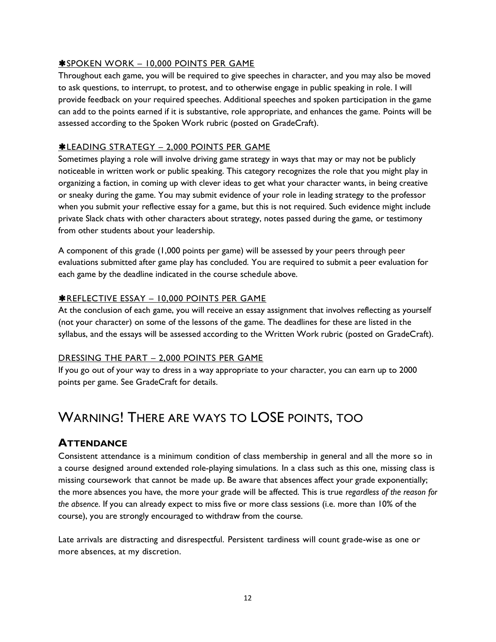#### **\*SPOKEN WORK - 10,000 POINTS PER GAME**

Throughout each game, you will be required to give speeches in character, and you may also be moved to ask questions, to interrupt, to protest, and to otherwise engage in public speaking in role. I will provide feedback on your required speeches. Additional speeches and spoken participation in the game can add to the points earned if it is substantive, role appropriate, and enhances the game. Points will be assessed according to the Spoken Work rubric (posted on GradeCraft).

#### LEADING STRATEGY – 2,000 POINTS PER GAME

Sometimes playing a role will involve driving game strategy in ways that may or may not be publicly noticeable in written work or public speaking. This category recognizes the role that you might play in organizing a faction, in coming up with clever ideas to get what your character wants, in being creative or sneaky during the game. You may submit evidence of your role in leading strategy to the professor when you submit your reflective essay for a game, but this is not required. Such evidence might include private Slack chats with other characters about strategy, notes passed during the game, or testimony from other students about your leadership.

A component of this grade (1,000 points per game) will be assessed by your peers through peer evaluations submitted after game play has concluded. You are required to submit a peer evaluation for each game by the deadline indicated in the course schedule above.

#### **\*REFLECTIVE ESSAY - 10,000 POINTS PER GAME**

At the conclusion of each game, you will receive an essay assignment that involves reflecting as yourself (not your character) on some of the lessons of the game. The deadlines for these are listed in the syllabus, and the essays will be assessed according to the Written Work rubric (posted on GradeCraft).

#### DRESSING THE PART – 2,000 POINTS PER GAME

If you go out of your way to dress in a way appropriate to your character, you can earn up to 2000 points per game. See GradeCraft for details.

## WARNING! THERE ARE WAYS TO LOSE POINTS, TOO

### **ATTENDANCE**

Consistent attendance is a minimum condition of class membership in general and all the more so in a course designed around extended role-playing simulations. In a class such as this one, missing class is missing coursework that cannot be made up. Be aware that absences affect your grade exponentially; the more absences you have, the more your grade will be affected. This is true *regardless of the reason for the absence*. If you can already expect to miss five or more class sessions (i.e. more than 10% of the course), you are strongly encouraged to withdraw from the course.

Late arrivals are distracting and disrespectful. Persistent tardiness will count grade-wise as one or more absences, at my discretion.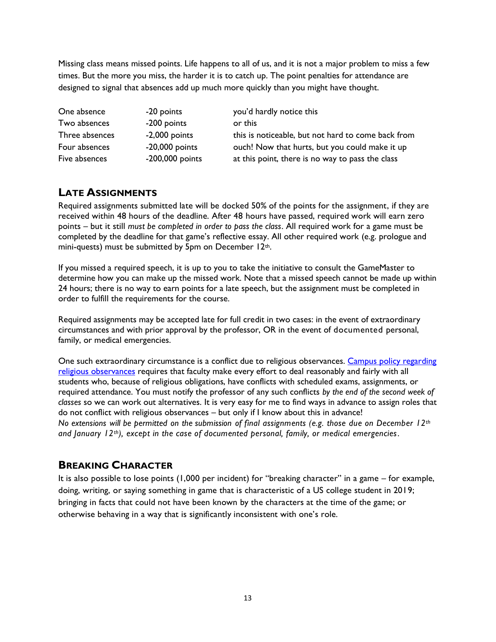Missing class means missed points. Life happens to all of us, and it is not a major problem to miss a few times. But the more you miss, the harder it is to catch up. The point penalties for attendance are designed to signal that absences add up much more quickly than you might have thought.

| One absence    | -20 points        | you'd hardly notice this                           |
|----------------|-------------------|----------------------------------------------------|
| Two absences   | -200 points       | or this                                            |
| Three absences | $-2,000$ points   | this is noticeable, but not hard to come back from |
| Four absences  | $-20,000$ points  | ouch! Now that hurts, but you could make it up     |
| Five absences  | $-200,000$ points | at this point, there is no way to pass the class   |

### **LATE ASSIGNMENTS**

Required assignments submitted late will be docked 50% of the points for the assignment, if they are received within 48 hours of the deadline. After 48 hours have passed, required work will earn zero points – but it still *must be completed in order to pass the class*. All required work for a game must be completed by the deadline for that game's reflective essay. All other required work (e.g. prologue and mini-quests) must be submitted by 5pm on December 12th.

If you missed a required speech, it is up to you to take the initiative to consult the GameMaster to determine how you can make up the missed work. Note that a missed speech cannot be made up within 24 hours; there is no way to earn points for a late speech, but the assignment must be completed in order to fulfill the requirements for the course.

Required assignments may be accepted late for full credit in two cases: in the event of extraordinary circumstances and with prior approval by the professor, OR in the event of documented personal, family, or medical emergencies.

One such extraordinary circumstance is a conflict due to religious observances. Campus policy regarding [religious observances](http://www.colorado.edu/policies/observance-religious-holidays-and-absences-classes-andor-exams) requires that faculty make every effort to deal reasonably and fairly with all students who, because of religious obligations, have conflicts with scheduled exams, assignments, or required attendance. You must notify the professor of any such conflicts *by the end of the second week of classes* so we can work out alternatives. It is very easy for me to find ways in advance to assign roles that do not conflict with religious observances – but only if I know about this in advance! *No extensions will be permitted on the submission of final assignments (e.g. those due on December 12th and January 12th), except in the case of documented personal, family, or medical emergencies.* 

### **BREAKING CHARACTER**

It is also possible to lose points (1,000 per incident) for "breaking character" in a game – for example, doing, writing, or saying something in game that is characteristic of a US college student in 2019; bringing in facts that could not have been known by the characters at the time of the game; or otherwise behaving in a way that is significantly inconsistent with one's role.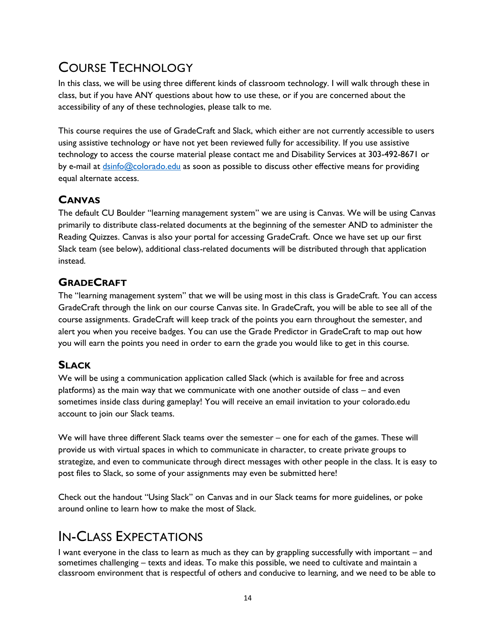# COURSE TECHNOLOGY

In this class, we will be using three different kinds of classroom technology. I will walk through these in class, but if you have ANY questions about how to use these, or if you are concerned about the accessibility of any of these technologies, please talk to me.

This course requires the use of GradeCraft and Slack, which either are not currently accessible to users using assistive technology or have not yet been reviewed fully for accessibility. If you use assistive technology to access the course material please contact me and Disability Services at 303-492-8671 or by e-mail at [dsinfo@colorado.edu](mailto:dsinfo@colorado.edu) as soon as possible to discuss other effective means for providing equal alternate access.

## **CANVAS**

The default CU Boulder "learning management system" we are using is Canvas. We will be using Canvas primarily to distribute class-related documents at the beginning of the semester AND to administer the Reading Quizzes. Canvas is also your portal for accessing GradeCraft. Once we have set up our first Slack team (see below), additional class-related documents will be distributed through that application instead.

## **GRADECRAFT**

The "learning management system" that we will be using most in this class is GradeCraft. You can access GradeCraft through the link on our course Canvas site. In GradeCraft, you will be able to see all of the course assignments. GradeCraft will keep track of the points you earn throughout the semester, and alert you when you receive badges. You can use the Grade Predictor in GradeCraft to map out how you will earn the points you need in order to earn the grade you would like to get in this course.

## **SLACK**

We will be using a communication application called Slack (which is available for free and across platforms) as the main way that we communicate with one another outside of class – and even sometimes inside class during gameplay! You will receive an email invitation to your colorado.edu account to join our Slack teams.

We will have three different Slack teams over the semester – one for each of the games. These will provide us with virtual spaces in which to communicate in character, to create private groups to strategize, and even to communicate through direct messages with other people in the class. It is easy to post files to Slack, so some of your assignments may even be submitted here!

Check out the handout "Using Slack" on Canvas and in our Slack teams for more guidelines, or poke around online to learn how to make the most of Slack.

## IN-CLASS EXPECTATIONS

I want everyone in the class to learn as much as they can by grappling successfully with important – and sometimes challenging – texts and ideas. To make this possible, we need to cultivate and maintain a classroom environment that is respectful of others and conducive to learning, and we need to be able to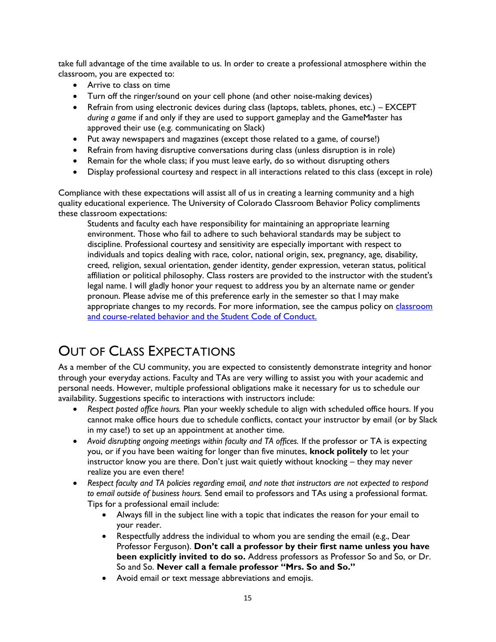take full advantage of the time available to us. In order to create a professional atmosphere within the classroom, you are expected to:

- Arrive to class on time
- Turn off the ringer/sound on your cell phone (and other noise-making devices)
- Refrain from using electronic devices during class (laptops, tablets, phones, etc.) EXCEPT *during a game* if and only if they are used to support gameplay and the GameMaster has approved their use (e.g. communicating on Slack)
- Put away newspapers and magazines (except those related to a game, of course!)
- Refrain from having disruptive conversations during class (unless disruption is in role)
- Remain for the whole class; if you must leave early, do so without disrupting others
- Display professional courtesy and respect in all interactions related to this class (except in role)

Compliance with these expectations will assist all of us in creating a learning community and a high quality educational experience. The University of Colorado Classroom Behavior Policy compliments these classroom expectations:

Students and faculty each have responsibility for maintaining an appropriate learning environment. Those who fail to adhere to such behavioral standards may be subject to discipline. Professional courtesy and sensitivity are especially important with respect to individuals and topics dealing with race, color, national origin, sex, pregnancy, age, disability, creed, religion, sexual orientation, gender identity, gender expression, veteran status, political affiliation or political philosophy. Class rosters are provided to the instructor with the student's legal name. I will gladly honor your request to address you by an alternate name or gender pronoun. Please advise me of this preference early in the semester so that I may make appropriate changes to my records. For more information, see the campus policy on *classroom* [and course-related behavior](https://www.colorado.edu/policies/student-classroom-and-course-related-behavior) and the [Student Code of Conduct.](http://www.colorado.edu/osccr/)

# OUT OF CLASS EXPECTATIONS

As a member of the CU community, you are expected to consistently demonstrate integrity and honor through your everyday actions. Faculty and TAs are very willing to assist you with your academic and personal needs. However, multiple professional obligations make it necessary for us to schedule our availability. Suggestions specific to interactions with instructors include:

- *Respect posted office hours.* Plan your weekly schedule to align with scheduled office hours. If you cannot make office hours due to schedule conflicts, contact your instructor by email (or by Slack in my case!) to set up an appointment at another time.
- *Avoid disrupting ongoing meetings within faculty and TA offices.* If the professor or TA is expecting you, or if you have been waiting for longer than five minutes, **knock politely** to let your instructor know you are there. Don't just wait quietly without knocking – they may never realize you are even there!
- *Respect faculty and TA policies regarding email, and note that instructors are not expected to respond to email outside of business hours.* Send email to professors and TAs using a professional format. Tips for a professional email include:
	- Always fill in the subject line with a topic that indicates the reason for your email to your reader.
	- Respectfully address the individual to whom you are sending the email (e.g., Dear Professor Ferguson). **Don't call a professor by their first name unless you have been explicitly invited to do so.** Address professors as Professor So and So, or Dr. So and So. **Never call a female professor "Mrs. So and So."**
	- Avoid email or text message abbreviations and emojis.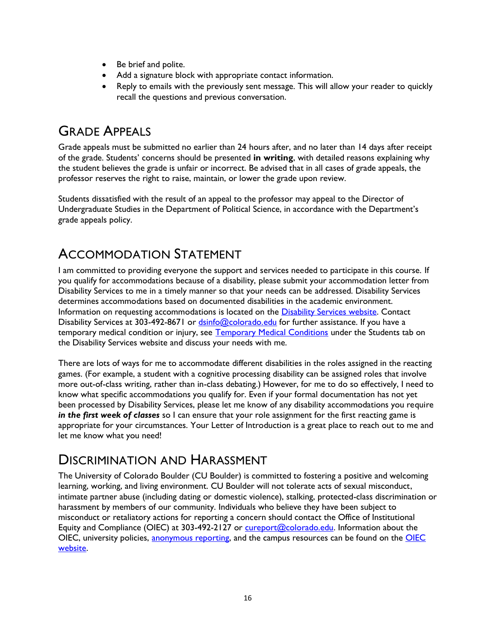- Be brief and polite.
- Add a signature block with appropriate contact information.
- Reply to emails with the previously sent message. This will allow your reader to quickly recall the questions and previous conversation.

# GRADE APPEALS

Grade appeals must be submitted no earlier than 24 hours after, and no later than 14 days after receipt of the grade. Students' concerns should be presented **in writing**, with detailed reasons explaining why the student believes the grade is unfair or incorrect. Be advised that in all cases of grade appeals, the professor reserves the right to raise, maintain, or lower the grade upon review.

Students dissatisfied with the result of an appeal to the professor may appeal to the Director of Undergraduate Studies in the Department of Political Science, in accordance with the Department's grade appeals policy.

# ACCOMMODATION STATEMENT

I am committed to providing everyone the support and services needed to participate in this course. If you qualify for accommodations because of a disability, please submit your accommodation letter from Disability Services to me in a timely manner so that your needs can be addressed. Disability Services determines accommodations based on documented disabilities in the academic environment. Information on requesting accommodations is located on the [Disability Services website.](http://www.colorado.edu/disabilityservices/students) Contact Disability Services at 303-492-8671 or **dsinfo@colorado.edu** for further assistance. If you have a temporary medical condition or injury, see [Temporary Medical Conditions](http://www.colorado.edu/disabilityservices/students/temporary-medical-conditions) under the Students tab on the Disability Services website and discuss your needs with me.

There are lots of ways for me to accommodate different disabilities in the roles assigned in the reacting games. (For example, a student with a cognitive processing disability can be assigned roles that involve more out-of-class writing, rather than in-class debating.) However, for me to do so effectively, I need to know what specific accommodations you qualify for. Even if your formal documentation has not yet been processed by Disability Services, please let me know of any disability accommodations you require *in the first week of classes* so I can ensure that your role assignment for the first reacting game is appropriate for your circumstances. Your Letter of Introduction is a great place to reach out to me and let me know what you need!

## DISCRIMINATION AND HARASSMENT

The University of Colorado Boulder (CU Boulder) is committed to fostering a positive and welcoming learning, working, and living environment. CU Boulder will not tolerate acts of sexual misconduct, intimate partner abuse (including dating or domestic violence), stalking, protected-class discrimination or harassment by members of our community. Individuals who believe they have been subject to misconduct or retaliatory actions for reporting a concern should contact the Office of Institutional Equity and Compliance (OIEC) at 303-492-2127 or [cureport@colorado.edu.](mailto:cureport@colorado.edu) Information about the OIEC, university policies, [anonymous reporting,](https://cuboulder.qualtrics.com/jfe/form/SV_0PnqVK4kkIJIZnf) and the campus resources can be found on the OIEC [website.](http://www.colorado.edu/institutionalequity/)